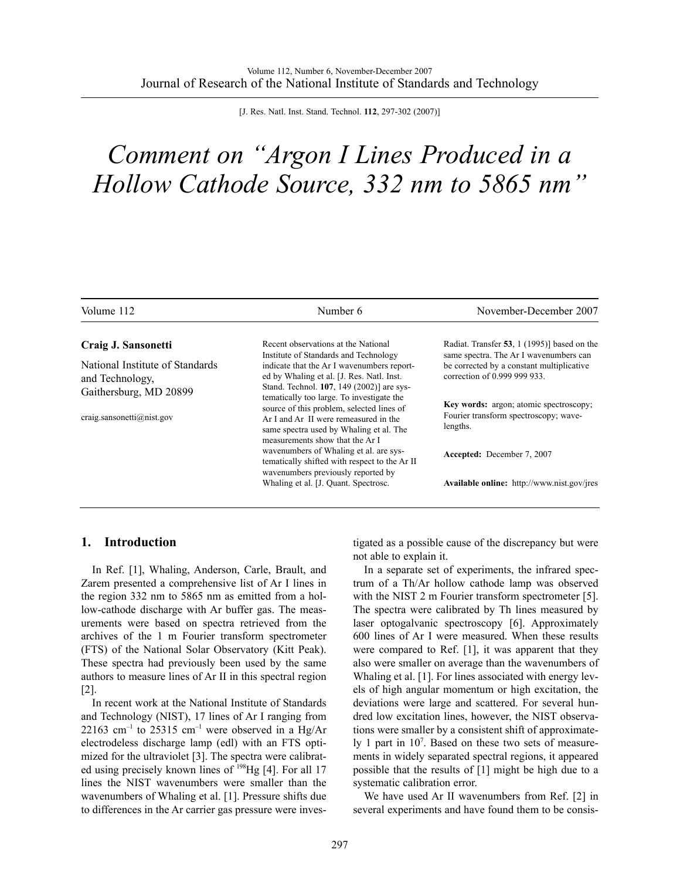[J. Res. Natl. Inst. Stand. Technol. **112**, 297-302 (2007)]

## *Comment on "Argon I Lines Produced in a Hollow Cathode Source, 332 nm to 5865 nm"*

| Volume 112                                          | Number 6                                                                                                                                                                      | November-December 2007                                                                                              |  |
|-----------------------------------------------------|-------------------------------------------------------------------------------------------------------------------------------------------------------------------------------|---------------------------------------------------------------------------------------------------------------------|--|
| Craig J. Sansonetti                                 | Recent observations at the National                                                                                                                                           | Radiat. Transfer 53, 1 (1995)] based on the                                                                         |  |
| National Institute of Standards<br>and Technology.  | Institute of Standards and Technology<br>indicate that the Ar I wavenumbers report-<br>ed by Whaling et al. [J. Res. Natl. Inst.<br>Stand. Technol. 107, 149 (2002)] are sys- | same spectra. The Ar I wavenumbers can<br>be corrected by a constant multiplicative<br>correction of 0.999 999 933. |  |
| Gaithersburg, MD 20899<br>craig.sansonetti@nist.gov | tematically too large. To investigate the<br>source of this problem, selected lines of<br>Ar I and Ar II were remeasured in the<br>same spectra used by Whaling et al. The    | Key words: argon; atomic spectroscopy;<br>Fourier transform spectroscopy; wave-<br>lengths.                         |  |
|                                                     | measurements show that the Ar I<br>wavenumbers of Whaling et al. are sys-<br>tematically shifted with respect to the Ar II                                                    | Accepted: December 7, 2007                                                                                          |  |
|                                                     | wavenumbers previously reported by<br>Whaling et al. [J. Quant. Spectrosc.]                                                                                                   | <b>Available online:</b> http://www.nist.gov/jres                                                                   |  |

## **1. Introduction**

In Ref. [1], Whaling, Anderson, Carle, Brault, and Zarem presented a comprehensive list of Ar I lines in the region 332 nm to 5865 nm as emitted from a hollow-cathode discharge with Ar buffer gas. The measurements were based on spectra retrieved from the archives of the 1 m Fourier transform spectrometer (FTS) of the National Solar Observatory (Kitt Peak). These spectra had previously been used by the same authors to measure lines of Ar II in this spectral region [2].

In recent work at the National Institute of Standards and Technology (NIST), 17 lines of Ar I ranging from  $22163$  cm<sup>-1</sup> to 25315 cm<sup>-1</sup> were observed in a Hg/Ar electrodeless discharge lamp (edl) with an FTS optimized for the ultraviolet [3]. The spectra were calibrated using precisely known lines of <sup>198</sup>Hg [4]. For all 17 lines the NIST wavenumbers were smaller than the wavenumbers of Whaling et al. [1]. Pressure shifts due to differences in the Ar carrier gas pressure were investigated as a possible cause of the discrepancy but were not able to explain it.

In a separate set of experiments, the infrared spectrum of a Th/Ar hollow cathode lamp was observed with the NIST 2 m Fourier transform spectrometer [5]. The spectra were calibrated by Th lines measured by laser optogalvanic spectroscopy [6]. Approximately 600 lines of Ar I were measured. When these results were compared to Ref. [1], it was apparent that they also were smaller on average than the wavenumbers of Whaling et al. [1]. For lines associated with energy levels of high angular momentum or high excitation, the deviations were large and scattered. For several hundred low excitation lines, however, the NIST observations were smaller by a consistent shift of approximately 1 part in  $10^7$ . Based on these two sets of measurements in widely separated spectral regions, it appeared possible that the results of [1] might be high due to a systematic calibration error.

We have used Ar II wavenumbers from Ref. [2] in several experiments and have found them to be consis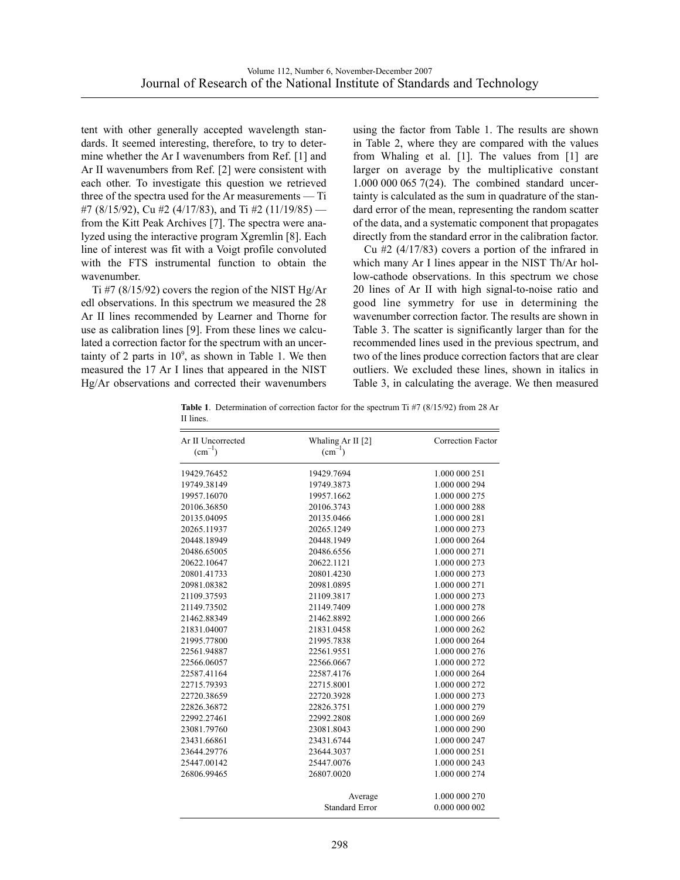tent with other generally accepted wavelength standards. It seemed interesting, therefore, to try to determine whether the Ar I wavenumbers from Ref. [1] and Ar II wavenumbers from Ref. [2] were consistent with each other. To investigate this question we retrieved three of the spectra used for the Ar measurements — Ti #7 (8/15/92), Cu #2 (4/17/83), and Ti #2 (11/19/85) from the Kitt Peak Archives [7]. The spectra were analyzed using the interactive program Xgremlin [8]. Each line of interest was fit with a Voigt profile convoluted with the FTS instrumental function to obtain the wavenumber.

 $Ti$  #7 (8/15/92) covers the region of the NIST Hg/Ar edl observations. In this spectrum we measured the 28 Ar II lines recommended by Learner and Thorne for use as calibration lines [9]. From these lines we calculated a correction factor for the spectrum with an uncertainty of 2 parts in  $10^9$ , as shown in Table 1. We then measured the 17 Ar I lines that appeared in the NIST Hg/Ar observations and corrected their wavenumbers

using the factor from Table 1. The results are shown in Table 2, where they are compared with the values from Whaling et al. [1]. The values from [1] are larger on average by the multiplicative constant 1.000 000 065 7(24). The combined standard uncertainty is calculated as the sum in quadrature of the standard error of the mean, representing the random scatter of the data, and a systematic component that propagates directly from the standard error in the calibration factor.

Cu #2 (4/17/83) covers a portion of the infrared in which many Ar I lines appear in the NIST Th/Ar hollow-cathode observations. In this spectrum we chose 20 lines of Ar II with high signal-to-noise ratio and good line symmetry for use in determining the wavenumber correction factor. The results are shown in Table 3. The scatter is significantly larger than for the recommended lines used in the previous spectrum, and two of the lines produce correction factors that are clear outliers. We excluded these lines, shown in italics in Table 3, in calculating the average. We then measured

**Table 1**. Determination of correction factor for the spectrum Ti #7 (8/15/92) from 28 Ar II lines.

| Correction Factor<br>Whaling Ar II [2]<br>$(cm^{-1})$ |
|-------------------------------------------------------|
| 19429.7694<br>1.000 000 251                           |
| 19749.3873<br>1.000 000 294                           |
| 19957.1662<br>1.000 000 275                           |
| 20106.3743<br>1.000 000 288                           |
| 20135.0466<br>1.000 000 281                           |
| 20265.1249<br>1.000 000 273                           |
| 20448.1949<br>1.000 000 264                           |
| 20486.6556<br>1.000 000 271                           |
| 20622.1121<br>1.000 000 273                           |
| 1.000 000 273<br>20801.4230                           |
| 20981.0895<br>1.000 000 271                           |
| 21109.3817<br>1.000 000 273                           |
| 21149.7409<br>1.000 000 278                           |
| 1.000 000 266<br>21462.8892                           |
| 21831.0458<br>1.000 000 262                           |
| 1.000 000 264<br>21995.7838                           |
| 1.000 000 276<br>22561.9551                           |
| 1.000 000 272<br>22566.0667                           |
| 22587.4176<br>1.000 000 264                           |
| 22715.8001<br>1.000 000 272                           |
| 1.000 000 273<br>22720.3928                           |
| 22826.3751<br>1.000 000 279                           |
| 1.000 000 269<br>22992.2808                           |
| 23081.8043<br>1.000 000 290                           |
| 1.000 000 247<br>23431.6744                           |
| 1.000 000 251<br>23644.3037                           |
| 25447.0076<br>1.000 000 243                           |
| 1.000 000 274<br>26807.0020                           |
| 1.000 000 270<br>Average                              |
| <b>Standard Error</b><br>0.000 000 002                |
|                                                       |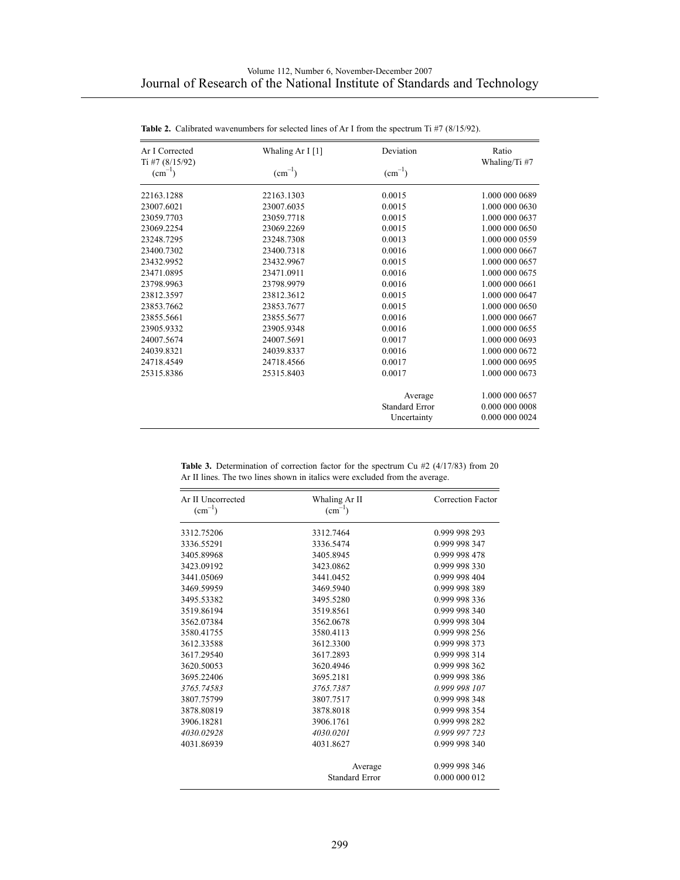| Ar I Corrected<br>Ti #7 $(8/15/92)$ | Whaling Ar I [1]   | Deviation             | Ratio<br>Whaling/Ti#7 |
|-------------------------------------|--------------------|-----------------------|-----------------------|
| $\rm (cm^{-1})$                     | $\text{(cm}^{-1})$ | $\text{(cm}^{-1})$    |                       |
| 22163.1288                          | 22163.1303         | 0.0015                | 1.000 000 0689        |
| 23007.6021                          | 23007.6035         | 0.0015                | 1.000 000 0630        |
| 23059.7703                          | 23059.7718         | 0.0015                | 1.000 000 0637        |
| 23069.2254                          | 23069.2269         | 0.0015                | 1.000 000 0650        |
| 23248.7295                          | 23248.7308         | 0.0013                | 1.000 000 0559        |
| 23400.7302                          | 23400.7318         | 0.0016                | 1.000 000 0667        |
| 23432.9952                          | 23432.9967         | 0.0015                | 1.000 000 0657        |
| 23471.0895                          | 23471.0911         | 0.0016                | 1.000 000 0675        |
| 23798.9963                          | 23798.9979         | 0.0016                | 1.000 000 0661        |
| 23812.3597                          | 23812.3612         | 0.0015                | 1.000 000 0647        |
| 23853.7662                          | 23853.7677         | 0.0015                | 1.000 000 0650        |
| 23855.5661                          | 23855.5677         | 0.0016                | 1.000 000 0667        |
| 23905.9332                          | 23905.9348         | 0.0016                | 1.000 000 0655        |
| 24007.5674                          | 24007.5691         | 0.0017                | 1.000 000 0693        |
| 24039.8321                          | 24039.8337         | 0.0016                | 1.000 000 0672        |
| 24718.4549                          | 24718.4566         | 0.0017                | 1.000 000 0695        |
| 25315.8386                          | 25315.8403         | 0.0017                | 1.000 000 0673        |
|                                     |                    | Average               | 1.000 000 0657        |
|                                     |                    | <b>Standard Error</b> | 0.000 000 0008        |
|                                     |                    | Uncertainty           | 0.000 000 0024        |

| <b>Table 2.</b> Calibrated wavenumbers for selected lines of Ar I from the spectrum Ti #7 (8/15/92). |
|------------------------------------------------------------------------------------------------------|
|------------------------------------------------------------------------------------------------------|

Table 3. Determination of correction factor for the spectrum Cu #2 (4/17/83) from 20 Ar II lines. The two lines shown in italics were excluded from the average.

| Ar II Uncorrected<br>$\text{(cm}^{-1})$ | Whaling Ar II<br>$(cm^{-1})$ | Correction Factor |  |  |
|-----------------------------------------|------------------------------|-------------------|--|--|
| 3312.75206                              | 3312.7464                    | 0.999 998 293     |  |  |
| 3336.55291                              | 3336.5474                    | 0.999 998 347     |  |  |
| 3405.89968                              | 3405.8945                    | 0.999 998 478     |  |  |
| 3423.09192                              | 3423.0862                    | 0.999 998 330     |  |  |
| 3441.05069                              | 3441.0452                    | 0.999 998 404     |  |  |
| 3469.59959                              | 3469.5940                    | 0.999 998 389     |  |  |
| 3495.53382                              | 3495.5280                    | 0.999 998 336     |  |  |
| 3519.86194                              | 3519.8561                    | 0.999 998 340     |  |  |
| 3562.07384                              | 3562.0678                    | 0.999 998 304     |  |  |
| 3580.41755                              | 3580.4113                    | 0.999 998 256     |  |  |
| 3612.33588                              | 3612.3300                    | 0.999 998 373     |  |  |
| 3617.29540                              | 3617.2893                    | 0.999 998 314     |  |  |
| 3620.50053                              | 3620.4946                    | 0.999 998 362     |  |  |
| 3695.22406                              | 3695.2181                    | 0.999 998 386     |  |  |
| 3765.74583                              | 3765.7387                    | 0.999 998 107     |  |  |
| 3807.75799                              | 3807.7517                    | 0.999 998 348     |  |  |
| 3878.80819                              | 3878.8018                    | 0.999 998 354     |  |  |
| 3906.18281                              | 3906.1761                    | 0.999 998 282     |  |  |
| 4030.02928                              | 4030.0201                    | 0.999 997 723     |  |  |
| 4031.86939                              | 4031.8627                    | 0.999 998 340     |  |  |
|                                         | Average                      | 0.999 998 346     |  |  |
|                                         | <b>Standard Error</b>        | 0.000 000 012     |  |  |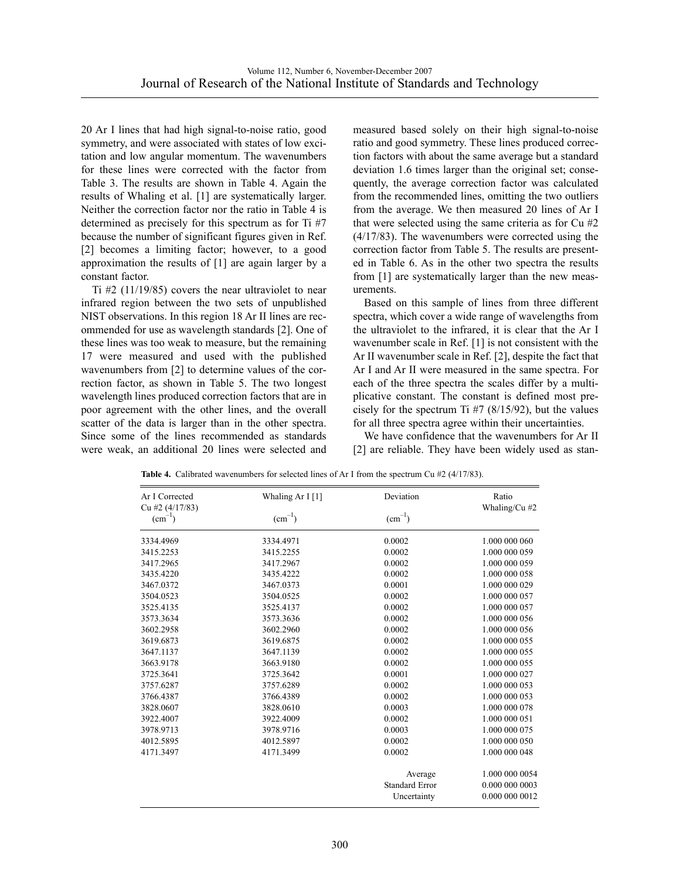20 Ar I lines that had high signal-to-noise ratio, good symmetry, and were associated with states of low excitation and low angular momentum. The wavenumbers for these lines were corrected with the factor from Table 3. The results are shown in Table 4. Again the results of Whaling et al. [1] are systematically larger. Neither the correction factor nor the ratio in Table 4 is determined as precisely for this spectrum as for Ti #7 because the number of significant figures given in Ref. [2] becomes a limiting factor; however, to a good approximation the results of [1] are again larger by a constant factor.

Ti #2 (11/19/85) covers the near ultraviolet to near infrared region between the two sets of unpublished NIST observations. In this region 18 Ar II lines are recommended for use as wavelength standards [2]. One of these lines was too weak to measure, but the remaining 17 were measured and used with the published wavenumbers from [2] to determine values of the correction factor, as shown in Table 5. The two longest wavelength lines produced correction factors that are in poor agreement with the other lines, and the overall scatter of the data is larger than in the other spectra. Since some of the lines recommended as standards were weak, an additional 20 lines were selected and

measured based solely on their high signal-to-noise ratio and good symmetry. These lines produced correction factors with about the same average but a standard deviation 1.6 times larger than the original set; consequently, the average correction factor was calculated from the recommended lines, omitting the two outliers from the average. We then measured 20 lines of Ar I that were selected using the same criteria as for Cu #2 (4/17/83). The wavenumbers were corrected using the correction factor from Table 5. The results are presented in Table 6. As in the other two spectra the results from [1] are systematically larger than the new measurements.

Based on this sample of lines from three different spectra, which cover a wide range of wavelengths from the ultraviolet to the infrared, it is clear that the Ar I wavenumber scale in Ref. [1] is not consistent with the Ar II wavenumber scale in Ref. [2], despite the fact that Ar I and Ar II were measured in the same spectra. For each of the three spectra the scales differ by a multiplicative constant. The constant is defined most precisely for the spectrum Ti  $#7$  (8/15/92), but the values for all three spectra agree within their uncertainties.

We have confidence that the wavenumbers for Ar II [2] are reliable. They have been widely used as stan-

| Ar I Corrected<br>Cu #2 (4/17/83) | Whaling Ar I [1] | Deviation             | Ratio<br>Whaling/Cu #2 |
|-----------------------------------|------------------|-----------------------|------------------------|
| $\text{(cm}^{-1})$                | $(cm^{-1})$      | $(cm^{-1})$           |                        |
| 3334.4969                         | 3334.4971        | 0.0002                | 1.000 000 060          |
| 3415.2253                         | 3415.2255        | 0.0002                | 1.000 000 059          |
| 3417.2965                         | 3417.2967        | 0.0002                | 1.000 000 059          |
| 3435.4220                         | 3435.4222        | 0.0002                | 1.000 000 058          |
| 3467.0372                         | 3467.0373        | 0.0001                | 1.000 000 029          |
| 3504.0523                         | 3504.0525        | 0.0002                | 1.000 000 057          |
| 3525.4135                         | 3525.4137        | 0.0002                | 1.000 000 057          |
| 3573.3634                         | 3573.3636        | 0.0002                | 1.000 000 056          |
| 3602.2958                         | 3602.2960        | 0.0002                | 1.000 000 056          |
| 3619.6873                         | 3619.6875        | 0.0002                | 1.000 000 055          |
| 3647.1137                         | 3647.1139        | 0.0002                | 1.000 000 055          |
| 3663.9178                         | 3663.9180        | 0.0002                | 1.000 000 055          |
| 3725.3641                         | 3725.3642        | 0.0001                | 1.000 000 027          |
| 3757.6287                         | 3757.6289        | 0.0002                | 1.000 000 053          |
| 3766.4387                         | 3766.4389        | 0.0002                | 1.000 000 053          |
| 3828.0607                         | 3828.0610        | 0.0003                | 1.000 000 078          |
| 3922.4007                         | 3922.4009        | 0.0002                | 1.000 000 051          |
| 3978.9713                         | 3978.9716        | 0.0003                | 1.000 000 075          |
| 4012.5895                         | 4012.5897        | 0.0002                | 1.000 000 050          |
| 4171.3497                         | 4171.3499        | 0.0002                | 1.000 000 048          |
|                                   |                  | Average               | 1.000 000 0054         |
|                                   |                  | <b>Standard Error</b> | 0.000 000 0003         |
|                                   |                  | Uncertainty           | 0.000 000 0012         |

Table 4. Calibrated wavenumbers for selected lines of Ar I from the spectrum Cu #2 (4/17/83).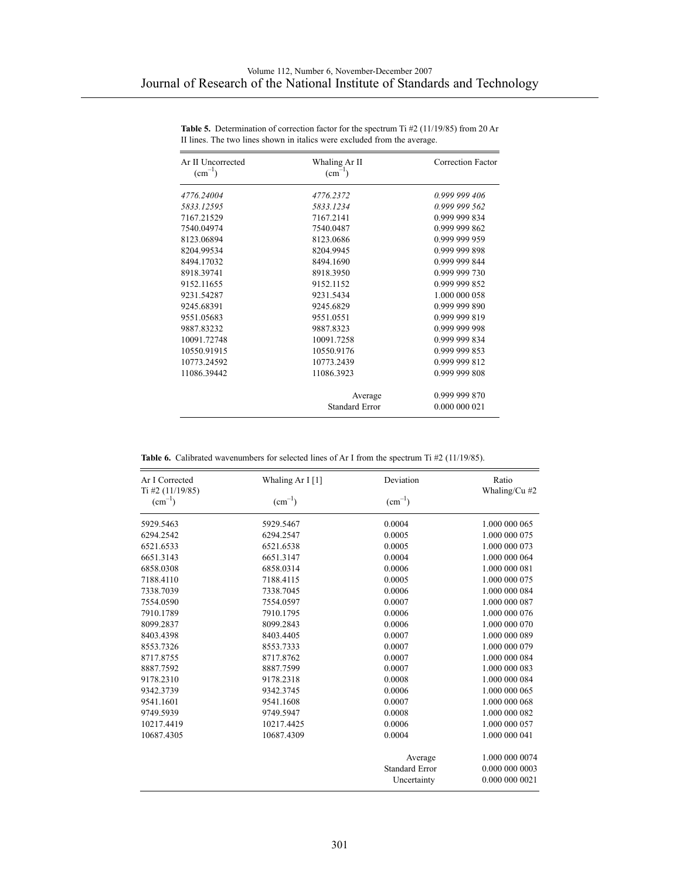| Ar II Uncorrected<br>$(cm^{-1})$ | Whaling Ar II<br>$(cm-1)$ | Correction Factor |
|----------------------------------|---------------------------|-------------------|
| 4776.24004                       | 4776.2372                 | 0.999 999 406     |
| 5833.12595                       | 5833.1234                 | 0.999 999 562     |
| 7167.21529                       | 7167.2141                 | 0.999 999 834     |
| 7540.04974                       | 7540.0487                 | 0.999 999 862     |
| 8123.06894                       | 8123.0686                 | 0.999 999 959     |
| 8204.99534                       | 8204.9945                 | 0.999 999 898     |
| 8494.17032                       | 8494.1690                 | 0.999 999 844     |
| 8918.39741                       | 8918.3950                 | 0.999 999 730     |
| 9152.11655                       | 9152.1152                 | 0.999 999 852     |
| 9231.54287                       | 9231.5434                 | 1.000 000 058     |
| 9245.68391                       | 9245.6829                 | 0.999 999 890     |
| 9551.05683                       | 9551.0551                 | 0.999 999 819     |
| 9887.83232                       | 9887.8323                 | 0.999 999 998     |
| 10091.72748                      | 10091.7258                | 0.999 999 834     |
| 10550.91915                      | 10550.9176                | 0.999 999 853     |
| 10773.24592                      | 10773.2439                | 0.999 999 812     |
| 11086.39442                      | 11086.3923                | 0.999 999 808     |
|                                  | Average                   | 0.999 999 870     |
|                                  | <b>Standard Error</b>     | 0.000 000 021     |

Table 5. Determination of correction factor for the spectrum Ti #2 (11/19/85) from 20 Ar II lines. The two lines shown in italics were excluded from the average.

|  |  | <b>Table 6.</b> Calibrated wavenumbers for selected lines of Ar I from the spectrum Ti #2 (11/19/85). |  |  |  |  |  |  |  |  |  |
|--|--|-------------------------------------------------------------------------------------------------------|--|--|--|--|--|--|--|--|--|
|--|--|-------------------------------------------------------------------------------------------------------|--|--|--|--|--|--|--|--|--|

| Whaling Ar I [1]<br>Ar I Corrected<br>$Ti$ #2 (11/19/85) |             | Deviation             | Ratio<br>Whaling/Cu #2 |  |
|----------------------------------------------------------|-------------|-----------------------|------------------------|--|
| $\text{(cm}^{-1})$                                       | $(cm^{-1})$ | $(cm^{-1})$           |                        |  |
| 5929.5463                                                | 5929.5467   | 0.0004                | 1.000 000 065          |  |
| 6294.2542                                                | 6294.2547   | 0.0005                | 1.000 000 075          |  |
| 6521.6533                                                | 6521.6538   | 0.0005                | 1.000 000 073          |  |
| 6651.3143                                                | 6651.3147   | 0.0004                | 1.000 000 064          |  |
| 6858.0308                                                | 6858.0314   | 0.0006                | 1.000 000 081          |  |
| 7188.4110                                                | 7188.4115   | 0.0005                | 1.000 000 075          |  |
| 7338.7039                                                | 7338.7045   | 0.0006                | 1.000 000 084          |  |
| 7554.0590                                                | 7554.0597   | 0.0007                | 1.000 000 087          |  |
| 7910.1789                                                | 7910.1795   | 0.0006                | 1.000 000 076          |  |
| 8099.2837                                                | 8099.2843   | 0.0006                | 1.000 000 070          |  |
| 8403.4398                                                | 8403.4405   | 0.0007                | 1.000 000 089          |  |
| 8553.7326                                                | 8553.7333   | 0.0007                | 1.000 000 079          |  |
| 8717.8755                                                | 8717.8762   | 0.0007                | 1.000 000 084          |  |
| 8887.7592                                                | 8887.7599   | 0.0007                | 1.000 000 083          |  |
| 9178.2310                                                | 9178.2318   | 0.0008                | 1.000 000 084          |  |
| 9342.3739                                                | 9342.3745   | 0.0006                | 1.000 000 065          |  |
| 9541.1601                                                | 9541.1608   | 0.0007                | 1.000 000 068          |  |
| 9749.5939                                                | 9749.5947   | 0.0008                | 1.000 000 082          |  |
| 10217.4419                                               | 10217.4425  | 0.0006                | 1.000 000 057          |  |
| 10687.4305                                               | 10687.4309  | 0.0004                | 1.000 000 041          |  |
|                                                          |             | Average               | 1.000 000 0074         |  |
|                                                          |             | <b>Standard Error</b> | 0.000 000 0003         |  |
|                                                          |             | Uncertainty           | 0.000 000 0021         |  |